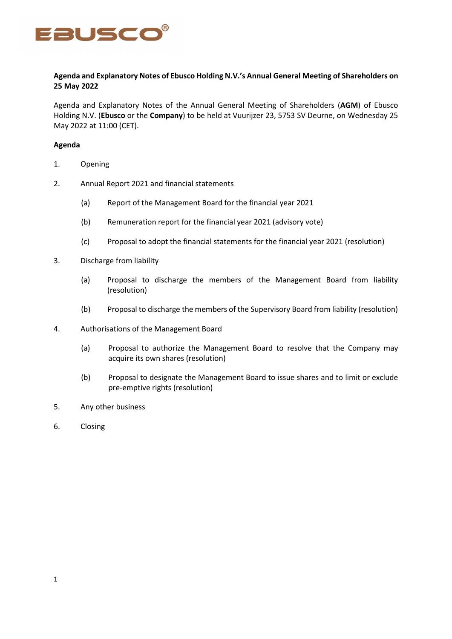

## **Agenda and Explanatory Notes of Ebusco Holding N.V.'s Annual General Meeting of Shareholders on 25 May 2022**

Agenda and Explanatory Notes of the Annual General Meeting of Shareholders (**AGM**) of Ebusco Holding N.V. (**Ebusco** or the **Company**) to be held at Vuurijzer 23, 5753 SV Deurne, on Wednesday 25 May 2022 at 11:00 (CET).

### **Agenda**

- 1. Opening
- 2. Annual Report 2021 and financial statements
	- (a) Report of the Management Board for the financial year 2021
	- (b) Remuneration report for the financial year 2021 (advisory vote)
	- (c) Proposal to adopt the financial statements for the financial year 2021 (resolution)
- 3. Discharge from liability
	- (a) Proposal to discharge the members of the Management Board from liability (resolution)
	- (b) Proposal to discharge the members of the Supervisory Board from liability (resolution)
- 4. Authorisations of the Management Board
	- (a) Proposal to authorize the Management Board to resolve that the Company may acquire its own shares (resolution)
	- (b) Proposal to designate the Management Board to issue shares and to limit or exclude pre-emptive rights (resolution)
- 5. Any other business
- 6. Closing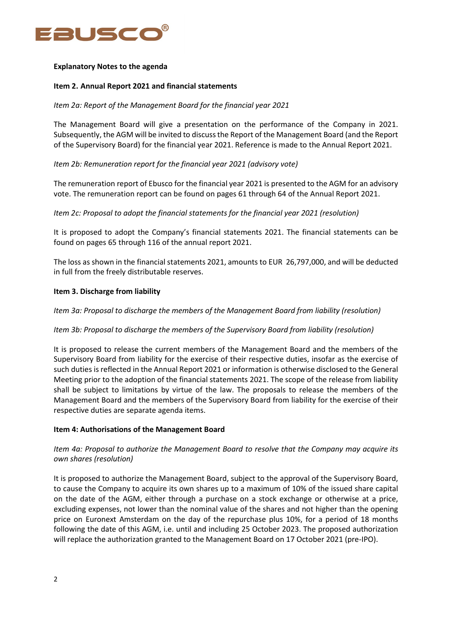

### **Explanatory Notes to the agenda**

## **Item 2. Annual Report 2021 and financial statements**

## *Item 2a: Report of the Management Board for the financial year 2021*

The Management Board will give a presentation on the performance of the Company in 2021. Subsequently, the AGM will be invited to discuss the Report of the Management Board (and the Report of the Supervisory Board) for the financial year 2021. Reference is made to the Annual Report 2021.

## *Item 2b: Remuneration report for the financial year 2021 (advisory vote)*

The remuneration report of Ebusco for the financial year 2021 is presented to the AGM for an advisory vote. The remuneration report can be found on pages 61 through 64 of the Annual Report 2021.

### *Item 2c: Proposal to adopt the financial statements for the financial year 2021 (resolution)*

It is proposed to adopt the Company's financial statements 2021. The financial statements can be found on pages 65 through 116 of the annual report 2021.

The loss as shown in the financial statements 2021, amounts to EUR 26,797,000, and will be deducted in full from the freely distributable reserves.

### **Item 3. Discharge from liability**

*Item 3a: Proposal to discharge the members of the Management Board from liability (resolution)*

### *Item 3b: Proposal to discharge the members of the Supervisory Board from liability (resolution)*

It is proposed to release the current members of the Management Board and the members of the Supervisory Board from liability for the exercise of their respective duties, insofar as the exercise of such duties is reflected in the Annual Report 2021 or information is otherwise disclosed to the General Meeting prior to the adoption of the financial statements 2021. The scope of the release from liability shall be subject to limitations by virtue of the law. The proposals to release the members of the Management Board and the members of the Supervisory Board from liability for the exercise of their respective duties are separate agenda items.

### **Item 4: Authorisations of the Management Board**

# *Item 4a: Proposal to authorize the Management Board to resolve that the Company may acquire its own shares (resolution)*

It is proposed to authorize the Management Board, subject to the approval of the Supervisory Board, to cause the Company to acquire its own shares up to a maximum of 10% of the issued share capital on the date of the AGM, either through a purchase on a stock exchange or otherwise at a price, excluding expenses, not lower than the nominal value of the shares and not higher than the opening price on Euronext Amsterdam on the day of the repurchase plus 10%, for a period of 18 months following the date of this AGM, i.e. until and including 25 October 2023. The proposed authorization will replace the authorization granted to the Management Board on 17 October 2021 (pre-IPO).